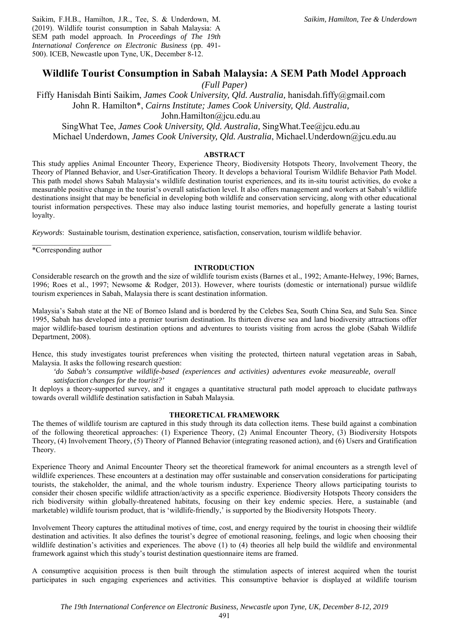Saikim, F.H.B., Hamilton, J.R., Tee, S. & Underdown, M. (2019). Wildlife tourist consumption in Sabah Malaysia: A SEM path model approach. In *Proceedings of The 19th International Conference on Electronic Business* (pp. 491- 500). ICEB, Newcastle upon Tyne, UK, December 8-12.

# **Wildlife Tourist Consumption in Sabah Malaysia: A SEM Path Model Approach**

*(Full Paper)* 

Fiffy Hanisdah Binti Saikim, *James Cook University, Qld. Australia,* hanisdah.fiffy@gmail.com John R. Hamilton\*, *Cairns Institute; James Cook University, Qld. Australia,* 

John.Hamilton@jcu.edu.au

SingWhat Tee, *James Cook University, Qld. Australia,* SingWhat.Tee@jcu.edu.au Michael Underdown, *James Cook University, Qld. Australia*, Michael.Underdown@jcu.edu.au

### **ABSTRACT**

This study applies Animal Encounter Theory, Experience Theory, Biodiversity Hotspots Theory, Involvement Theory, the Theory of Planned Behavior, and User-Gratification Theory. It develops a behavioral Tourism Wildlife Behavior Path Model. This path model shows Sabah Malaysia's wildlife destination tourist experiences, and its in-situ tourist activities, do evoke a measurable positive change in the tourist's overall satisfaction level. It also offers management and workers at Sabah's wildlife destinations insight that may be beneficial in developing both wildlife and conservation servicing, along with other educational tourist information perspectives. These may also induce lasting tourist memories, and hopefully generate a lasting tourist loyalty.

*Keywords*: Sustainable tourism, destination experience, satisfaction, conservation, tourism wildlife behavior.

\*Corresponding author

### **INTRODUCTION**

Considerable research on the growth and the size of wildlife tourism exists (Barnes et al., 1992; Amante-Helwey, 1996; Barnes, 1996; Roes et al., 1997; Newsome & Rodger, 2013). However, where tourists (domestic or international) pursue wildlife tourism experiences in Sabah, Malaysia there is scant destination information.

Malaysia's Sabah state at the NE of Borneo Island and is bordered by the Celebes Sea, South China Sea, and Sulu Sea. Since 1995, Sabah has developed into a premier tourism destination. Its thirteen diverse sea and land biodiversity attractions offer major wildlife-based tourism destination options and adventures to tourists visiting from across the globe (Sabah Wildlife Department, 2008).

Hence, this study investigates tourist preferences when visiting the protected, thirteen natural vegetation areas in Sabah, Malaysia. It asks the following research question:

*'do Sabah's consumptive wildlife-based (experiences and activities) adventures evoke measureable, overall satisfaction changes for the tourist?'* 

It deploys a theory-supported survey, and it engages a quantitative structural path model approach to elucidate pathways towards overall wildlife destination satisfaction in Sabah Malaysia.

### **THEORETICAL FRAMEWORK**

The themes of wildlife tourism are captured in this study through its data collection items. These build against a combination of the following theoretical approaches: (1) Experience Theory, (2) Animal Encounter Theory, (3) Biodiversity Hotspots Theory, (4) Involvement Theory, (5) Theory of Planned Behavior (integrating reasoned action), and (6) Users and Gratification Theory.

Experience Theory and Animal Encounter Theory set the theoretical framework for animal encounters as a strength level of wildlife experiences. These encounters at a destination may offer sustainable and conservation considerations for participating tourists, the stakeholder, the animal, and the whole tourism industry. Experience Theory allows participating tourists to consider their chosen specific wildlife attraction/activity as a specific experience. Biodiversity Hotspots Theory considers the rich biodiversity within globally-threatened habitats, focusing on their key endemic species. Here, a sustainable (and marketable) wildlife tourism product, that is 'wildlife-friendly,' is supported by the Biodiversity Hotspots Theory.

Involvement Theory captures the attitudinal motives of time, cost, and energy required by the tourist in choosing their wildlife destination and activities. It also defines the tourist's degree of emotional reasoning, feelings, and logic when choosing their wildlife destination's activities and experiences. The above (1) to (4) theories all help build the wildlife and environmental framework against which this study's tourist destination questionnaire items are framed.

A consumptive acquisition process is then built through the stimulation aspects of interest acquired when the tourist participates in such engaging experiences and activities. This consumptive behavior is displayed at wildlife tourism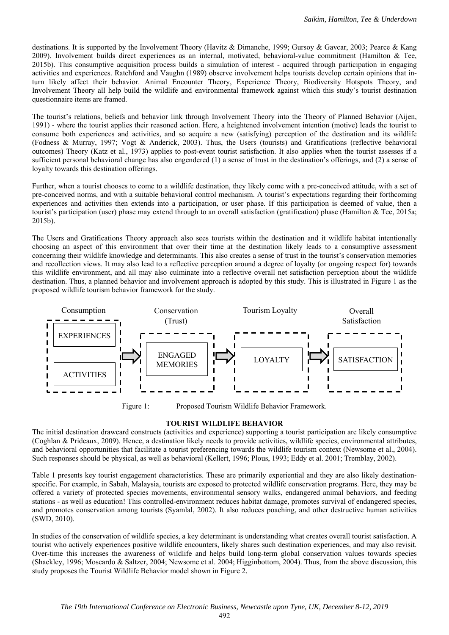destinations. It is supported by the Involvement Theory (Havitz & Dimanche, 1999; Gursoy & Gavcar, 2003; Pearce & Kang 2009). Involvement builds direct experiences as an internal, motivated, behavioral-value commitment (Hamilton & Tee, 2015b). This consumptive acquisition process builds a simulation of interest - acquired through participation in engaging activities and experiences. Ratchford and Vaughn (1989) observe involvement helps tourists develop certain opinions that inturn likely affect their behavior. Animal Encounter Theory, Experience Theory, Biodiversity Hotspots Theory, and Involvement Theory all help build the wildlife and environmental framework against which this study's tourist destination questionnaire items are framed.

The tourist's relations, beliefs and behavior link through Involvement Theory into the Theory of Planned Behavior (Aijen, 1991) - where the tourist applies their reasoned action. Here, a heightened involvement intention (motive) leads the tourist to consume both experiences and activities, and so acquire a new (satisfying) perception of the destination and its wildlife (Fodness & Murray, 1997; Vogt & Anderick, 2003). Thus, the Users (tourists) and Gratifications (reflective behavioral outcomes) Theory (Katz et al., 1973) applies to post-event tourist satisfaction. It also applies when the tourist assesses if a sufficient personal behavioral change has also engendered (1) a sense of trust in the destination's offerings, and (2) a sense of loyalty towards this destination offerings.

Further, when a tourist chooses to come to a wildlife destination, they likely come with a pre-conceived attitude, with a set of pre-conceived norms, and with a suitable behavioral control mechanism. A tourist's expectations regarding their forthcoming experiences and activities then extends into a participation, or user phase. If this participation is deemed of value, then a tourist's participation (user) phase may extend through to an overall satisfaction (gratification) phase (Hamilton & Tee, 2015a; 2015b).

The Users and Gratifications Theory approach also sees tourists within the destination and it wildlife habitat intentionally choosing an aspect of this environment that over their time at the destination likely leads to a consumptive assessment concerning their wildlife knowledge and determinants. This also creates a sense of trust in the tourist's conservation memories and recollection views. It may also lead to a reflective perception around a degree of loyalty (or ongoing respect for) towards this wildlife environment, and all may also culminate into a reflective overall net satisfaction perception about the wildlife destination. Thus, a planned behavior and involvement approach is adopted by this study. This is illustrated in Figure 1 as the proposed wildlife tourism behavior framework for the study.



Figure 1: Proposed Tourism Wildlife Behavior Framework.

# **TOURIST WILDLIFE BEHAVIOR**

The initial destination drawcard constructs (activities and experience) supporting a tourist participation are likely consumptive (Coghlan & Prideaux, 2009). Hence, a destination likely needs to provide activities, wildlife species, environmental attributes, and behavioral opportunities that facilitate a tourist preferencing towards the wildlife tourism context (Newsome et al., 2004). Such responses should be physical, as well as behavioral (Kellert, 1996; Plous, 1993; Eddy et al. 2001; Tremblay, 2002).

Table 1 presents key tourist engagement characteristics. These are primarily experiential and they are also likely destinationspecific. For example, in Sabah, Malaysia, tourists are exposed to protected wildlife conservation programs. Here, they may be offered a variety of protected species movements, environmental sensory walks, endangered animal behaviors, and feeding stations - as well as education! This controlled-environment reduces habitat damage, promotes survival of endangered species, and promotes conservation among tourists (Syamlal, 2002). It also reduces poaching, and other destructive human activities (SWD, 2010).

In studies of the conservation of wildlife species, a key determinant is understanding what creates overall tourist satisfaction. A tourist who actively experiences positive wildlife encounters, likely shares such destination experiences, and may also revisit. Over-time this increases the awareness of wildlife and helps build long-term global conservation values towards species (Shackley, 1996; Moscardo & Saltzer, 2004; Newsome et al. 2004; Higginbottom, 2004). Thus, from the above discussion, this study proposes the Tourist Wildlife Behavior model shown in Figure 2.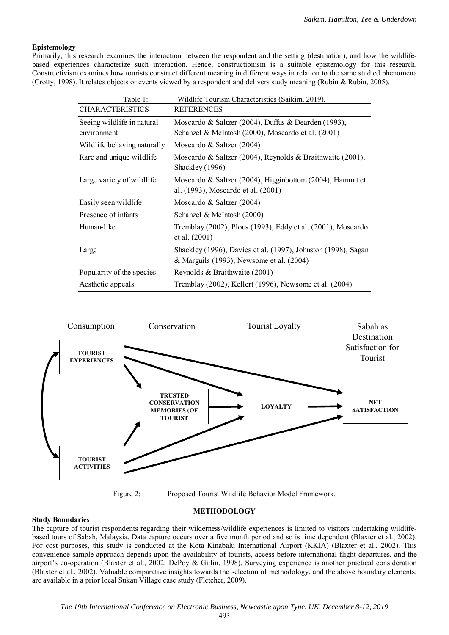## **Epistemology**

Primarily, this research examines the interaction between the respondent and the setting (destination), and how the wildlifebased experiences characterize such interaction. Hence, constructionism is a suitable epistemology for this research. Constructivism examines how tourists construct different meaning in different ways in relation to the same studied phenomena (Crotty, 1998). It relates objects or events viewed by a respondent and delivers study meaning (Rubin & Rubin, 2005).

| Table 1:                                  | Wildlife Tourism Characteristics (Saikim, 2019).                                                          |
|-------------------------------------------|-----------------------------------------------------------------------------------------------------------|
| <b>CHARACTERISTICS</b>                    | <b>REFERENCES</b>                                                                                         |
| Seeing wildlife in natural<br>environment | Moscardo & Saltzer (2004), Duffus & Dearden (1993),<br>Schanzel & McIntosh (2000), Moscardo et al. (2001) |
| Wildlife behaving naturally               | Moscardo & Saltzer (2004)                                                                                 |
| Rare and unique wildlife                  | Moscardo & Saltzer (2004), Reynolds & Braithwaite (2001),<br>Shackley (1996)                              |
| Large variety of wildlife                 | Moscardo & Saltzer (2004), Higginbottom (2004), Hammit et<br>al. (1993), Moscardo et al. (2001)           |
| Easily seen wildlife                      | Moscardo & Saltzer (2004)                                                                                 |
| Presence of infants                       | Schanzel & McIntosh (2000)                                                                                |
| Human-like                                | Tremblay (2002), Plous (1993), Eddy et al. (2001), Moscardo<br>et al. (2001)                              |
| Large                                     | Shackley (1996), Davies et al. (1997), Johnston (1998), Sagan<br>& Marguils (1993), Newsome et al. (2004) |
| Popularity of the species                 | Reynolds & Braithwaite (2001)                                                                             |
| Aesthetic appeals                         | Tremblay (2002), Kellert (1996), Newsome et al. (2004)                                                    |



Figure 2: Proposed Tourist Wildlife Behavior Model Framework.

### **METHODOLOGY**

### **Study Boundaries**

The capture of tourist respondents regarding their wilderness/wildlife experiences is limited to visitors undertaking wildlifebased tours of Sabah, Malaysia. Data capture occurs over a five month period and so is time dependent (Blaxter et al., 2002). For cost purposes, this study is conducted at the Kota Kinabalu International Airport (KKIA) (Blaxter et al., 2002). This convenience sample approach depends upon the availability of tourists, access before international flight departures, and the airport's co-operation (Blaxter et al., 2002; DePoy & Gitlin, 1998). Surveying experience is another practical consideration (Blaxter et al., 2002). Valuable comparative insights towards the selection of methodology, and the above boundary elements, are available in a prior local Sukau Village case study (Fletcher, 2009).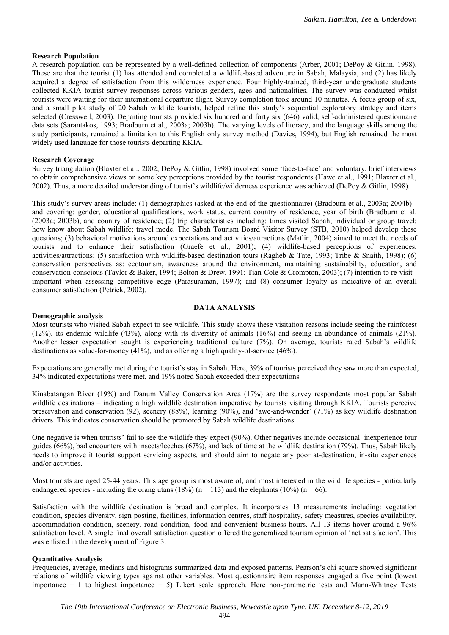### **Research Population**

A research population can be represented by a well-defined collection of components (Arber, 2001; DePoy & Gitlin, 1998). These are that the tourist (1) has attended and completed a wildlife-based adventure in Sabah, Malaysia, and (2) has likely acquired a degree of satisfaction from this wilderness experience. Four highly-trained, third-year undergraduate students collected KKIA tourist survey responses across various genders, ages and nationalities. The survey was conducted whilst tourists were waiting for their international departure flight. Survey completion took around 10 minutes. A focus group of six, and a small pilot study of 20 Sabah wildlife tourists, helped refine this study's sequential exploratory strategy and items selected (Cresswell, 2003). Departing tourists provided six hundred and forty six (646) valid, self-administered questionnaire data sets (Sarantakos, 1993; Bradburn et al., 2003a; 2003b). The varying levels of literacy, and the language skills among the study participants, remained a limitation to this English only survey method (Davies, 1994), but English remained the most widely used language for those tourists departing KKIA.

#### **Research Coverage**

Survey triangulation (Blaxter et al., 2002; DePoy & Gitlin, 1998) involved some 'face-to-face' and voluntary, brief interviews to obtain comprehensive views on some key perceptions provided by the tourist respondents (Hawe et al., 1991; Blaxter et al., 2002). Thus, a more detailed understanding of tourist's wildlife/wilderness experience was achieved (DePoy & Gitlin, 1998).

This study's survey areas include: (1) demographics (asked at the end of the questionnaire) (Bradburn et al., 2003a; 2004b) and covering: gender, educational qualifications, work status, current country of residence, year of birth (Bradburn et al. (2003a; 2003b), and country of residence; (2) trip characteristics including: times visited Sabah; individual or group travel; how know about Sabah wildlife; travel mode. The Sabah Tourism Board Visitor Survey (STB, 2010) helped develop these questions; (3) behavioral motivations around expectations and activities/attractions (Matlin, 2004) aimed to meet the needs of tourists and to enhance their satisfaction (Graefe et al., 2001); (4) wildlife-based perceptions of experiences, activities/attractions; (5) satisfaction with wildlife-based destination tours (Ragheb & Tate, 1993; Tribe & Snaith, 1998); (6) conservation perspectives as: ecotourism, awareness around the environment, maintaining sustainability, education, and conservation-conscious (Taylor & Baker, 1994; Bolton & Drew, 1991; Tian-Cole & Crompton, 2003); (7) intention to re-visit important when assessing competitive edge (Parasuraman, 1997); and (8) consumer loyalty as indicative of an overall consumer satisfaction (Petrick, 2002).

### **DATA ANALYSIS**

#### **Demographic analysis**

Most tourists who visited Sabah expect to see wildlife. This study shows these visitation reasons include seeing the rainforest (12%), its endemic wildlife (43%), along with its diversity of animals (16%) and seeing an abundance of animals (21%). Another lesser expectation sought is experiencing traditional culture (7%). On average, tourists rated Sabah's wildlife destinations as value-for-money (41%), and as offering a high quality-of-service (46%).

Expectations are generally met during the tourist's stay in Sabah. Here, 39% of tourists perceived they saw more than expected, 34% indicated expectations were met, and 19% noted Sabah exceeded their expectations.

Kinabatangan River (19%) and Danum Valley Conservation Area (17%) are the survey respondents most popular Sabah wildlife destinations – indicating a high wildlife destination imperative by tourists visiting through KKIA. Tourists perceive preservation and conservation (92), scenery (88%), learning (90%), and 'awe-and-wonder' (71%) as key wildlife destination drivers. This indicates conservation should be promoted by Sabah wildlife destinations.

One negative is when tourists' fail to see the wildlife they expect (90%). Other negatives include occasional: inexperience tour guides (66%), bad encounters with insects/leeches (67%), and lack of time at the wildlife destination (79%). Thus, Sabah likely needs to improve it tourist support servicing aspects, and should aim to negate any poor at-destination, in-situ experiences and/or activities.

Most tourists are aged 25-44 years. This age group is most aware of, and most interested in the wildlife species - particularly endangered species - including the orang utans (18%) ( $n = 113$ ) and the elephants (10%) ( $n = 66$ ).

Satisfaction with the wildlife destination is broad and complex. It incorporates 13 measurements including: vegetation condition, species diversity, sign-posting, facilities, information centres, staff hospitality, safety measures, species availability, accommodation condition, scenery, road condition, food and convenient business hours. All 13 items hover around a 96% satisfaction level. A single final overall satisfaction question offered the generalized tourism opinion of 'net satisfaction'. This was enlisted in the development of Figure 3.

### **Quantitative Analysis**

Frequencies, average, medians and histograms summarized data and exposed patterns. Pearson's chi square showed significant relations of wildlife viewing types against other variables. Most questionnaire item responses engaged a five point (lowest importance = 1 to highest importance = 5) Likert scale approach. Here non-parametric tests and Mann-Whitney Tests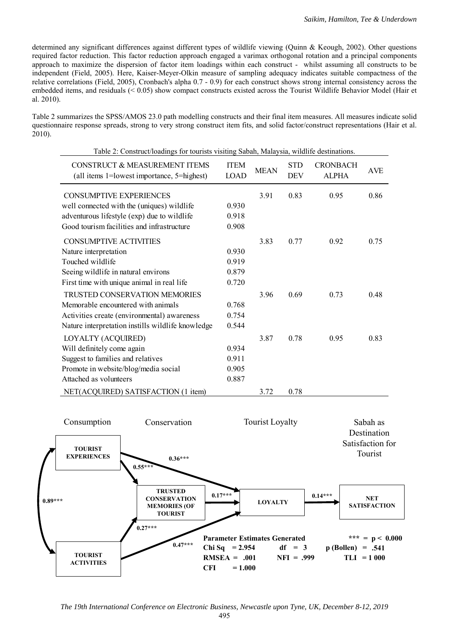determined any significant differences against different types of wildlife viewing (Quinn & Keough, 2002). Other questions required factor reduction. This factor reduction approach engaged a varimax orthogonal rotation and a principal components approach to maximize the dispersion of factor item loadings within each construct - whilst assuming all constructs to be independent (Field, 2005). Here, Kaiser-Meyer-Olkin measure of sampling adequacy indicates suitable compactness of the relative correlations (Field, 2005), Cronbach's alpha 0.7 - 0.9) for each construct shows strong internal consistency across the embedded items, and residuals (< 0.05) show compact constructs existed across the Tourist Wildlife Behavior Model (Hair et al. 2010).

Table 2 summarizes the SPSS/AMOS 23.0 path modelling constructs and their final item measures. All measures indicate solid questionnaire response spreads, strong to very strong construct item fits, and solid factor/construct representations (Hair et al. 2010).

| Table 2: Construct/loadings for tourists visiting Sabah, Malaysia, wildlife destinations. |                            |             |                          |                                 |            |  |  |
|-------------------------------------------------------------------------------------------|----------------------------|-------------|--------------------------|---------------------------------|------------|--|--|
| <b>CONSTRUCT &amp; MEASUREMENT ITEMS</b><br>(all items 1=lowest importance, 5=highest)    | <b>ITEM</b><br><b>LOAD</b> | <b>MEAN</b> | <b>STD</b><br><b>DEV</b> | <b>CRONBACH</b><br><b>ALPHA</b> | <b>AVE</b> |  |  |
| <b>CONSUMPTIVE EXPERIENCES</b>                                                            |                            | 3.91        | 0.83                     | 0.95                            | 0.86       |  |  |
| well connected with the (uniques) wildlife                                                | 0.930                      |             |                          |                                 |            |  |  |
| adventurous lifestyle (exp) due to wildlife                                               | 0.918                      |             |                          |                                 |            |  |  |
| Good tourism facilities and infrastructure                                                | 0.908                      |             |                          |                                 |            |  |  |
| <b>CONSUMPTIVE ACTIVITIES</b>                                                             |                            | 3.83        | 0.77                     | 0.92                            | 0.75       |  |  |
| Nature interpretation                                                                     | 0.930                      |             |                          |                                 |            |  |  |
| Touched wildlife                                                                          | 0.919                      |             |                          |                                 |            |  |  |
| Seeing wildlife in natural environs                                                       | 0.879                      |             |                          |                                 |            |  |  |
| First time with unique animal in real life                                                | 0.720                      |             |                          |                                 |            |  |  |
| <b>TRUSTED CONSERVATION MEMORIES</b>                                                      |                            | 3.96        | 0.69                     | 0.73                            | 0.48       |  |  |
| Memorable encountered with animals                                                        | 0.768                      |             |                          |                                 |            |  |  |
| Activities create (environmental) awareness                                               | 0.754                      |             |                          |                                 |            |  |  |
| Nature interpretation instills wildlife knowledge                                         | 0.544                      |             |                          |                                 |            |  |  |
| <b>LOYALTY (ACQUIRED)</b>                                                                 |                            | 3.87        | 0.78                     | 0.95                            | 0.83       |  |  |
| Will definitely come again                                                                | 0.934                      |             |                          |                                 |            |  |  |
| Suggest to families and relatives                                                         | 0.911                      |             |                          |                                 |            |  |  |
| Promote in website/blog/media social                                                      | 0.905                      |             |                          |                                 |            |  |  |
| Attached as volunteers                                                                    | 0.887                      |             |                          |                                 |            |  |  |
| NET(ACQUIRED) SATISFACTION (1 item)                                                       |                            | 3.72        | 0.78                     |                                 |            |  |  |



*The 19th International Conference on Electronic Business, Newcastle upon Tyne, UK, December 8-12, 2019*  495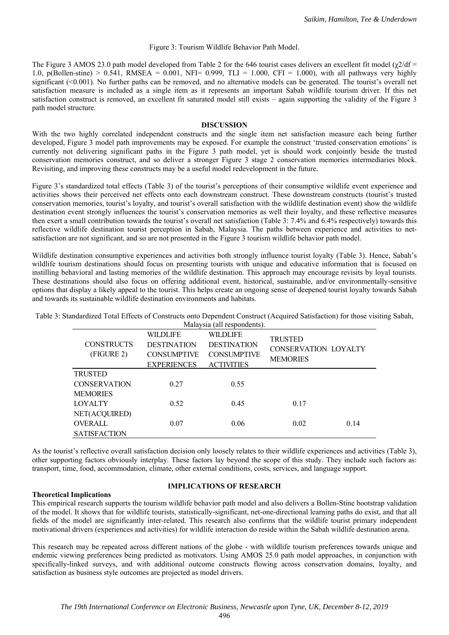#### Figure 3: Tourism Wildlife Behavior Path Model.

The Figure 3 AMOS 23.0 path model developed from Table 2 for the 646 tourist cases delivers an excellent fit model ( $\chi$ 2/df = 1.0, p(Bollen-stine) > 0.541, RMSEA = 0.001, NFI= 0.999, TLI = 1.000, CFI = 1.000), with all pathways very highly significant (<0.001). No further paths can be removed, and no alternative models can be generated. The tourist's overall net satisfaction measure is included as a single item as it represents an important Sabah wildlife tourism driver. If this net satisfaction construct is removed, an excellent fit saturated model still exists – again supporting the validity of the Figure 3 path model structure.

#### **DISCUSSION**

With the two highly correlated independent constructs and the single item net satisfaction measure each being further developed, Figure 3 model path improvements may be exposed. For example the construct 'trusted conservation emotions' is currently not delivering significant paths in the Figure 3 path model, yet is should work conjointly beside the trusted conservation memories construct, and so deliver a stronger Figure 3 stage 2 conservation memories intermediaries block. Revisiting, and improving these constructs may be a useful model redevelopment in the future.

Figure 3's standardized total effects (Table 3) of the tourist's perceptions of their consumptive wildlife event experience and activities shows their perceived net effects onto each downstream construct. These downstream constructs (tourist's trusted conservation memories, tourist's loyalty, and tourist's overall satisfaction with the wildlife destination event) show the wildlife destination event strongly influences the tourist's conservation memories as well their loyalty, and these reflective measures then exert a small contribution towards the tourist's overall net satisfaction (Table 3: 7.4% and 6.4% respectively) towards this reflective wildlife destination tourist perception in Sabah, Malaysia. The paths between experience and activities to netsatisfaction are not significant, and so are not presented in the Figure 3 tourism wildlife behavior path model.

Wildlife destination consumptive experiences and activities both strongly influence tourist loyalty (Table 3). Hence, Sabah's wildlife tourism destinations should focus on presenting tourists with unique and educative information that is focused on instilling behavioral and lasting memories of the wildlife destination. This approach may encourage revisits by loyal tourists. These destinations should also focus on offering additional event, historical, sustainable, and/or environmentally-sensitive options that display a likely appeal to the tourist. This helps create an ongoing sense of deepened tourist loyalty towards Sabah and towards its sustainable wildlife destination environments and habitats.

Table 3: Standardized Total Effects of Constructs onto Dependent Construct (Acquired Satisfaction) for those visiting Sabah,

| Malaysia (all respondents).                              |                                                                                   |                                                                                  |                                                                  |  |  |  |  |  |
|----------------------------------------------------------|-----------------------------------------------------------------------------------|----------------------------------------------------------------------------------|------------------------------------------------------------------|--|--|--|--|--|
| <b>CONSTRUCTS</b><br>(FIGURE 2)                          | <b>WILDLIFE</b><br><b>DESTINATION</b><br><b>CONSUMPTIVE</b><br><b>EXPERIENCES</b> | <b>WILDLIFE</b><br><b>DESTINATION</b><br><b>CONSUMPTIVE</b><br><b>ACTIVITIES</b> | <b>TRUSTED</b><br><b>CONSERVATION LOYALTY</b><br><b>MEMORIES</b> |  |  |  |  |  |
| <b>TRUSTED</b><br><b>CONSERVATION</b><br><b>MEMORIES</b> | 0.27                                                                              | 0.55                                                                             |                                                                  |  |  |  |  |  |
| LOYALTY<br>NET(ACQUIRED)                                 | 0.52                                                                              | 0.45                                                                             | 0.17                                                             |  |  |  |  |  |
| <b>OVERALL</b><br><b>SATISFACTION</b>                    | 0.07                                                                              | 0.06                                                                             | 0.02<br>0.14                                                     |  |  |  |  |  |

As the tourist's reflective overall satisfaction decision only loosely relates to their wildlife experiences and activities (Table 3), other supporting factors obviously interplay. These factors lay beyond the scope of this study. They include such factors as: transport, time, food, accommodation, climate, other external conditions, costs, services, and language support.

### **Theoretical Implications**

#### **IMPLICATIONS OF RESEARCH**

This empirical research supports the tourism wildlife behavior path model and also delivers a Bollen-Stine bootstrap validation of the model. It shows that for wildlife tourists, statistically-significant, net-one-directional learning paths do exist, and that all fields of the model are significantly inter-related. This research also confirms that the wildlife tourist primary independent motivational drivers (experiences and activities) for wildlife interaction do reside within the Sabah wildlife destination arena.

This research may be repeated across different nations of the globe - with wildlife tourism preferences towards unique and endemic viewing preferences being predicted as motivators. Using AMOS 25.0 path model approaches, in conjunction with specifically-linked surveys, and with additional outcome constructs flowing across conservation domains, loyalty, and satisfaction as business style outcomes are projected as model drivers.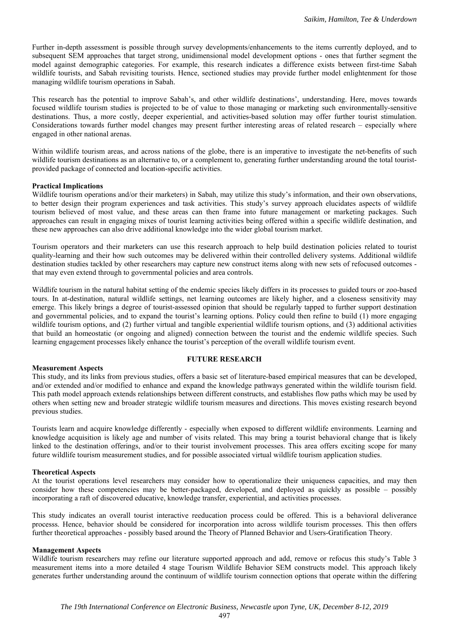Further in-depth assessment is possible through survey developments/enhancements to the items currently deployed, and to subsequent SEM approaches that target strong, unidimensional model development options - ones that further segment the model against demographic categories. For example, this research indicates a difference exists between first-time Sabah wildlife tourists, and Sabah revisiting tourists. Hence, sectioned studies may provide further model enlightenment for those managing wildlife tourism operations in Sabah.

This research has the potential to improve Sabah's, and other wildlife destinations', understanding. Here, moves towards focused wildlife tourism studies is projected to be of value to those managing or marketing such environmentally-sensitive destinations. Thus, a more costly, deeper experiential, and activities-based solution may offer further tourist stimulation. Considerations towards further model changes may present further interesting areas of related research – especially where engaged in other national arenas.

Within wildlife tourism areas, and across nations of the globe, there is an imperative to investigate the net-benefits of such wildlife tourism destinations as an alternative to, or a complement to, generating further understanding around the total touristprovided package of connected and location-specific activities.

### **Practical Implications**

Wildlife tourism operations and/or their marketers) in Sabah, may utilize this study's information, and their own observations, to better design their program experiences and task activities. This study's survey approach elucidates aspects of wildlife tourism believed of most value, and these areas can then frame into future management or marketing packages. Such approaches can result in engaging mixes of tourist learning activities being offered within a specific wildlife destination, and these new approaches can also drive additional knowledge into the wider global tourism market.

Tourism operators and their marketers can use this research approach to help build destination policies related to tourist quality-learning and their how such outcomes may be delivered within their controlled delivery systems. Additional wildlife destination studies tackled by other researchers may capture new construct items along with new sets of refocused outcomes that may even extend through to governmental policies and area controls.

Wildlife tourism in the natural habitat setting of the endemic species likely differs in its processes to guided tours or zoo-based tours. In at-destination, natural wildlife settings, net learning outcomes are likely higher, and a closeness sensitivity may emerge. This likely brings a degree of tourist-assessed opinion that should be regularly tapped to further support destination and governmental policies, and to expand the tourist's learning options. Policy could then refine to build (1) more engaging wildlife tourism options, and (2) further virtual and tangible experiential wildlife tourism options, and (3) additional activities that build an homeostatic (or ongoing and aligned) connection between the tourist and the endemic wildlife species. Such learning engagement processes likely enhance the tourist's perception of the overall wildlife tourism event.

#### **FUTURE RESEARCH**

### **Measurement Aspects**

This study, and its links from previous studies, offers a basic set of literature-based empirical measures that can be developed, and/or extended and/or modified to enhance and expand the knowledge pathways generated within the wildlife tourism field. This path model approach extends relationships between different constructs, and establishes flow paths which may be used by others when setting new and broader strategic wildlife tourism measures and directions. This moves existing research beyond previous studies.

Tourists learn and acquire knowledge differently - especially when exposed to different wildlife environments. Learning and knowledge acquisition is likely age and number of visits related. This may bring a tourist behavioral change that is likely linked to the destination offerings, and/or to their tourist involvement processes. This area offers exciting scope for many future wildlife tourism measurement studies, and for possible associated virtual wildlife tourism application studies.

#### **Theoretical Aspects**

At the tourist operations level researchers may consider how to operationalize their uniqueness capacities, and may then consider how these competencies may be better-packaged, developed, and deployed as quickly as possible – possibly incorporating a raft of discovered educative, knowledge transfer, experiential, and activities processes.

This study indicates an overall tourist interactive reeducation process could be offered. This is a behavioral deliverance processs. Hence, behavior should be considered for incorporation into across wildlife tourism processes. This then offers further theoretical approaches - possibly based around the Theory of Planned Behavior and Users-Gratification Theory.

#### **Management Aspects**

Wildlife tourism researchers may refine our literature supported approach and add, remove or refocus this study's Table 3 measurement items into a more detailed 4 stage Tourism Wildlife Behavior SEM constructs model. This approach likely generates further understanding around the continuum of wildlife tourism connection options that operate within the differing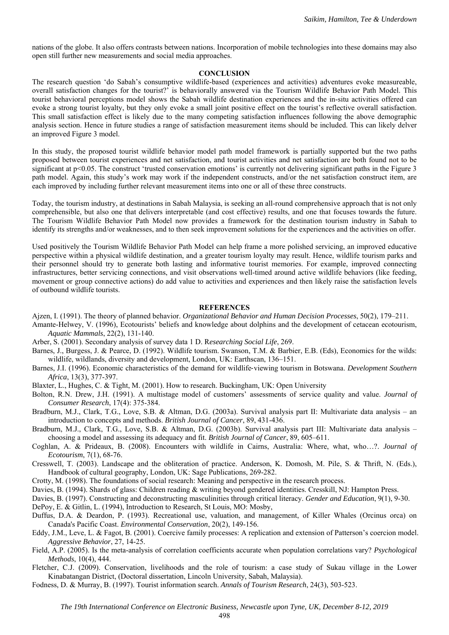nations of the globe. It also offers contrasts between nations. Incorporation of mobile technologies into these domains may also open still further new measurements and social media approaches.

#### **CONCLUSION**

The research question 'do Sabah's consumptive wildlife-based (experiences and activities) adventures evoke measureable, overall satisfaction changes for the tourist?' is behaviorally answered via the Tourism Wildlife Behavior Path Model. This tourist behavioral perceptions model shows the Sabah wildlife destination experiences and the in-situ activities offered can evoke a strong tourist loyalty, but they only evoke a small joint positive effect on the tourist's reflective overall satisfaction. This small satisfaction effect is likely due to the many competing satisfaction influences following the above demographic analysis section. Hence in future studies a range of satisfaction measurement items should be included. This can likely delver an improved Figure 3 model.

In this study, the proposed tourist wildlife behavior model path model framework is partially supported but the two paths proposed between tourist experiences and net satisfaction, and tourist activities and net satisfaction are both found not to be significant at p<0.05. The construct 'trusted conservation emotions' is currently not delivering significant paths in the Figure 3 path model. Again, this study's work may work if the independent constructs, and/or the net satisfaction construct item, are each improved by including further relevant measurement items into one or all of these three constructs.

Today, the tourism industry, at destinations in Sabah Malaysia, is seeking an all-round comprehensive approach that is not only comprehensible, but also one that delivers interpretable (and cost effective) results, and one that focuses towards the future. The Tourism Wildlife Behavior Path Model now provides a framework for the destination tourism industry in Sabah to identify its strengths and/or weaknesses, and to then seek improvement solutions for the experiences and the activities on offer.

Used positively the Tourism Wildlife Behavior Path Model can help frame a more polished servicing, an improved educative perspective within a physical wildlife destination, and a greater tourism loyalty may result. Hence, wildlife tourism parks and their personnel should try to generate both lasting and informative tourist memories. For example, improved connecting infrastructures, better servicing connections, and visit observations well-timed around active wildlife behaviors (like feeding, movement or group connective actions) do add value to activities and experiences and then likely raise the satisfaction levels of outbound wildlife tourists.

#### **REFERENCES**

- Ajzen, I. (1991). The theory of planned behavior. *Organizational Behavior and Human Decision Processes*, 50(2), 179–211. Amante-Helwey, V. (1996), Ecotourists' beliefs and knowledge about dolphins and the development of cetacean ecotourism, *Aquatic Mammals*, 22(2), 131-140.
- Arber, S. (2001). Secondary analysis of survey data 1 D. R*esearching Social Life*, 269.
- Barnes, J., Burgess, J. & Pearce, D. (1992). Wildlife tourism. Swanson, T.M. & Barbier, E.B. (Eds), Economics for the wilds: wildlife, wildlands, diversity and development, London, UK: Earthscan, 136–151.

Barnes, J.I. (1996). Economic characteristics of the demand for wildlife‐viewing tourism in Botswana. *Development Southern Africa*, 13(3), 377-397.

Blaxter, L., Hughes, C. & Tight, M. (2001). How to research. Buckingham, UK: Open University

Bolton, R.N. Drew, J.H. (1991). A multistage model of customers' assessments of service quality and value. *Journal of Consumer Research*, 17(4): 375-384.

- Bradburn, M.J., Clark, T.G., Love, S.B. & Altman, D.G. (2003a). Survival analysis part II: Multivariate data analysis an introduction to concepts and methods. *British Journal of Cancer*, 89, 431-436.
- Bradburn, M.J., Clark, T.G., Love, S.B. & Altman, D.G. (2003b). Survival analysis part III: Multivariate data analysis choosing a model and assessing its adequacy and fit. *British Journal of Cancer*, 89, 605–611.
- Coghlan, A. & Prideaux, B. (2008). Encounters with wildlife in Cairns, Australia: Where, what, who…?. *Journal of Ecotourism*, 7(1), 68-76.
- Cresswell, T. (2003). Landscape and the obliteration of practice. Anderson, K. Domosh, M. Pile, S. & Thrift, N. (Eds.), Handbook of cultural geography, London, UK: Sage Publications, 269-282.
- Crotty, M. (1998). The foundations of social research: Meaning and perspective in the research process.
- Davies, B. (1994). Shards of glass: Children reading & writing beyond gendered identities. Cresskill, NJ: Hampton Press.
- Davies, B. (1997). Constructing and deconstructing masculinities through critical literacy. *Gender and Education*, 9(1), 9-30.
- DePoy, E. & Gitlin, L. (1994), Introduction to Research, St Louis, MO: Mosby,
- Duffus, D.A. & Deardon, P. (1993). Recreational use, valuation, and management, of Killer Whales (Orcinus orca) on Canada's Pacific Coast. *Environmental Conservation*, 20(2), 149-156.
- Eddy, J.M., Leve, L. & Fagot, B. (2001). Coercive family processes: A replication and extension of Patterson's coercion model. *Aggressive Behavior*, 27, 14-25.
- Field, A.P. (2005). Is the meta-analysis of correlation coefficients accurate when population correlations vary? *Psychological Methods*, 10(4), 444.
- Fletcher, C.J. (2009). Conservation, livelihoods and the role of tourism: a case study of Sukau village in the Lower Kinabatangan District, (Doctoral dissertation, Lincoln University, Sabah, Malaysia).
- Fodness, D. & Murray, B. (1997). Tourist information search. *Annals of Tourism Research*, 24(3), 503-523.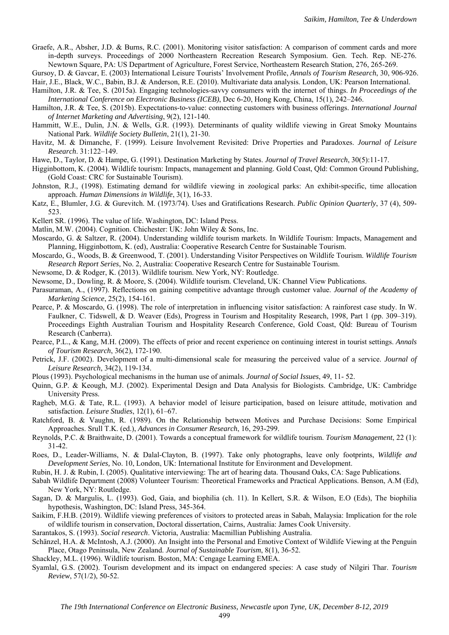Graefe, A.R., Absher, J.D. & Burns, R.C. (2001). Monitoring visitor satisfaction: A comparison of comment cards and more in-depth surveys. Proceedings of 2000 Northeastern Recreation Research Symposium. Gen. Tech. Rep. NE-276. Newtown Square, PA: US Department of Agriculture, Forest Service, Northeastern Research Station, 276, 265-269.

Gursoy, D. & Gavcar, E. (2003) International Leisure Tourists' Involvement Profile, *Annals of Tourism Research*, 30, 906-926. Hair, J.E., Black, W.C., Babin, B.J. & Anderson, R.E. (2010). Multivariate data analysis. London, UK: Pearson International.

- Hamilton, J.R. & Tee, S. (2015a). Engaging technologies-savvy consumers with the internet of things. *In Proceedings of the International Conference on Electronic Business (ICEB)*, Dec 6-20, Hong Kong, China, 15(1), 242–246.
- Hamilton, J.R. & Tee, S. (2015b). Expectations-to-value: connecting customers with business offerings. *International Journal of Internet Marketing and Advertising*, 9(2), 121-140.
- Hammitt, W.E., Dulin, J.N. & Wells, G.R. (1993). Determinants of quality wildlife viewing in Great Smoky Mountains National Park. *Wildlife Society Bulletin*, 21(1), 21-30.
- Havitz, M. & Dimanche, F. (1999). Leisure Involvement Revisited: Drive Properties and Paradoxes. *Journal of Leisure Research*. 31:122–149.
- Hawe, D., Taylor, D. & Hampe, G. (1991). Destination Marketing by States. *Journal of Travel Research*, 30(5):11-17.
- Higginbottom, K. (2004). Wildlife tourism: Impacts, management and planning. Gold Coast, Qld: Common Ground Publishing, (Gold Coast: CRC for Sustainable Tourism).
- Johnston, R.J., (1998). Estimating demand for wildlife viewing in zoological parks: An exhibit-specific, time allocation approach. *Human Dimensions in Wildlife*, 3(1), 16-33.
- Katz, E., Blumler, J.G. & Gurevitch. M. (1973/74). Uses and Gratifications Research. *Public Opinion Quarterly*, 37 (4), 509- 523.
- Kellert SR. (1996). The value of life. Washington, DC: Island Press.
- Matlin, M.W. (2004). Cognition. Chichester: UK: John Wiley & Sons, Inc.
- Moscardo, G. & Saltzer, R. (2004). Understanding wildlife tourism market*s*. In Wildlife Tourism: Impacts, Management and Planning, Higginbottom, K. (ed), Australia: Cooperative Research Centre for Sustainable Tourism.
- Moscardo, G., Woods, B. & Greenwood, T. (2001). Understanding Visitor Perspectives on Wildlife Tourism. *Wildlife Tourism Research Report Series*, No. 2, Australia: Cooperative Research Centre for Sustainable Tourism.

Newsome, D. & Rodger, K. (2013). Wildlife tourism. New York, NY: Routledge.

Newsome, D., Dowling, R. & Moore, S. (2004). Wildlife tourism. Cleveland, UK: Channel View Publications.

Parasuraman, A., (1997). Reflections on gaining competitive advantage through customer value. *Journal of the Academy of Marketing Science*, 25(2), 154-161.

- Pearce, P. & Moscardo, G. (1998). The role of interpretation in influencing visitor satisfaction: A rainforest case study. In W. Faulkner, C. Tidswell, & D. Weaver (Eds), Progress in Tourism and Hospitality Research, 1998, Part 1 (pp. 309–319). Proceedings Eighth Australian Tourism and Hospitality Research Conference, Gold Coast, Qld: Bureau of Tourism Research (Canberra).
- Pearce, P.L., & Kang, M.H. (2009). The effects of prior and recent experience on continuing interest in tourist settings. *Annals of Tourism Research*, 36(2), 172-190.
- Petrick, J.F. (2002). Development of a multi-dimensional scale for measuring the perceived value of a service. *Journal of Leisure Research*, 34(2), 119-134.
- Plous (1993). Psychological mechanisms in the human use of animals. *Journal of Social Issues*, 49, 11- 52.
- Quinn, G.P. & Keough, M.J. (2002). Experimental Design and Data Analysis for Biologists. Cambridge, UK: Cambridge University Press.
- Ragheb, M.G. & Tate, R.L. (1993). A behavior model of leisure participation, based on leisure attitude, motivation and satisfaction. *Leisure Studies*, 12(1), 61–67.
- Ratchford, B. & Vaughn, R. (1989). On the Relationship between Motives and Purchase Decisions: Some Empirical Approaches. Srull T.K. (ed.), *Advances in Consumer Research*, 16, 293-299.
- Reynolds, P.C. & Braithwaite, D. (2001). Towards a conceptual framework for wildlife tourism. *Tourism Management*, 22 (1): 31-42.

Roes, D., Leader-Williams, N. & Dalal-Clayton, B. (1997). Take only photographs, leave only footprints, *Wildlife and Development Series,* No. 10, London, UK: International Institute for Environment and Development.

Rubin, H. J. & Rubin, I. (2005). Qualitative interviewing: The art of hearing data. Thousand Oaks, CA: Sage Publications.

- Sabah Wildlife Department (2008) Volunteer Tourism: Theoretical Frameworks and Practical Applications. Benson, A.M (Ed), New York, NY: Routledge.
- Sagan, D. & Margulis, L. (1993). God, Gaia, and biophilia (ch. 11). In Kellert, S.R. & Wilson, E.O (Eds), The biophilia hypothesis, Washington, DC: Island Press, 345-364.
- Saikim, F.H.B. (2019). Wildlife viewing preferences of visitors to protected areas in Sabah, Malaysia: Implication for the role of wildlife tourism in conservation, Doctoral dissertation, Cairns, Australia: James Cook University.

Sarantakos, S. (1993). *Social research*. Victoria, Australia: Macmillian Publishing Australia.

Schänzel, H.A. & McIntosh, A.J. (2000). An Insight into the Personal and Emotive Context of Wildlife Viewing at the Penguin Place, Otago Peninsula, New Zealand. *Journal of Sustainable Tourism*, 8(1), 36-52.

Shackley, M.L. (1996). Wildlife tourism. Boston, MA: Cengage Learning EMEA.

Syamlal, G.S. (2002). Tourism development and its impact on endangered species: A case study of Nilgiri Thar. *Tourism Review*, 57(1/2), 50-52.